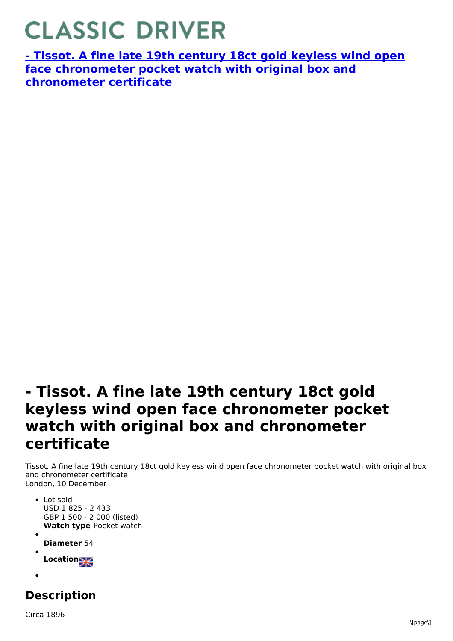## **CLASSIC DRIVER**

**- Tissot. A fine late 19th century 18ct gold keyless wind open face [chronometer](https://www.classicdriver.com/en/watch/269270) pocket watch with original box and chronometer certificate**

## **- Tissot. A fine late 19th century 18ct gold keyless wind open face chronometer pocket watch with original box and chronometer certificate**

Tissot. A fine late 19th century 18ct gold keyless wind open face chronometer pocket watch with original box and chronometer certificate London, 10 December

- **Watch type** Pocket watch Lot sold USD 1 825 - 2 433 GBP 1 500 - 2 000 (listed)
- **Diameter** 54

**Location**

## **Description**